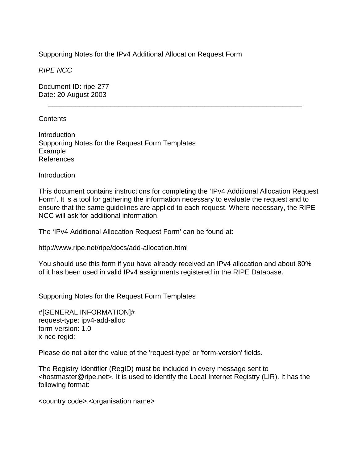Supporting Notes for the IPv4 Additional Allocation Request Form

*RIPE NCC* 

Document ID: ripe-277 Date: 20 August 2003

## Contents

Introduction Supporting Notes for the Request Form Templates Example References

**Introduction** 

This document contains instructions for completing the 'IPv4 Additional Allocation Request Form'. It is a tool for gathering the information necessary to evaluate the request and to ensure that the same guidelines are applied to each request. Where necessary, the RIPE NCC will ask for additional information.

\_\_\_\_\_\_\_\_\_\_\_\_\_\_\_\_\_\_\_\_\_\_\_\_\_\_\_\_\_\_\_\_\_\_\_\_\_\_\_\_\_\_\_\_\_\_\_\_\_\_\_\_\_\_\_\_\_\_\_\_\_\_\_\_\_

The 'IPv4 Additional Allocation Request Form' can be found at:

http://www.ripe.net/ripe/docs/add-allocation.html

You should use this form if you have already received an IPv4 allocation and about 80% of it has been used in valid IPv4 assignments registered in the RIPE Database.

Supporting Notes for the Request Form Templates

#[GENERAL INFORMATION]# request-type: ipv4-add-alloc form-version: 1.0 x-ncc-regid:

Please do not alter the value of the 'request-type' or 'form-version' fields.

The Registry Identifier (RegID) must be included in every message sent to <hostmaster@ripe.net>. It is used to identify the Local Internet Registry (LIR). It has the following format:

<country code>.<organisation name>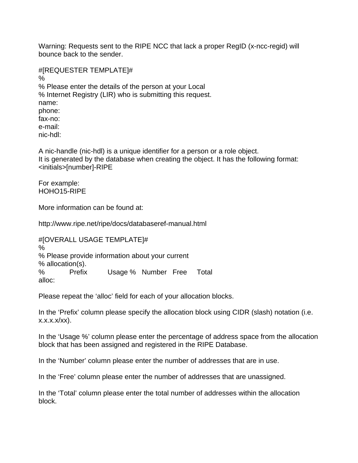Warning: Requests sent to the RIPE NCC that lack a proper RegID (x-ncc-regid) will bounce back to the sender.

#[REQUESTER TEMPLATE]# % % Please enter the details of the person at your Local % Internet Registry (LIR) who is submitting this request. name: phone: fax-no: e-mail: nic-hdl:

A nic-handle (nic-hdl) is a unique identifier for a person or a role object. It is generated by the database when creating the object. It has the following format: <initials>[number]-RIPE

For example: HOHO15-RIPE

More information can be found at:

http://www.ripe.net/ripe/docs/databaseref-manual.html

#[OVERALL USAGE TEMPLATE]# % % Please provide information about your current % allocation(s). % Prefix Usage % Number Free Total alloc:

Please repeat the 'alloc' field for each of your allocation blocks.

In the 'Prefix' column please specify the allocation block using CIDR (slash) notation (i.e. x.x.x.x/xx).

In the 'Usage %' column please enter the percentage of address space from the allocation block that has been assigned and registered in the RIPE Database.

In the 'Number' column please enter the number of addresses that are in use.

In the 'Free' column please enter the number of addresses that are unassigned.

In the 'Total' column please enter the total number of addresses within the allocation block.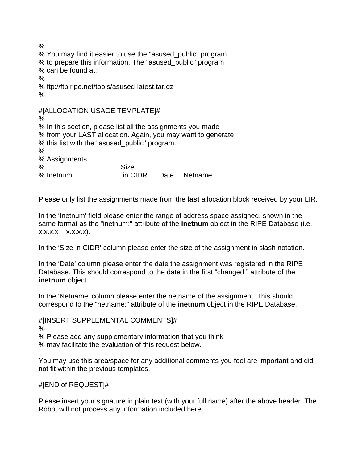$\frac{0}{0}$ % You may find it easier to use the "asused\_public" program % to prepare this information. The "asused\_public" program % can be found at: % % ftp://ftp.ripe.net/tools/asused-latest.tar.gz % #[ALLOCATION USAGE TEMPLATE]# % % In this section, please list all the assignments you made % from your LAST allocation. Again, you may want to generate % this list with the "asused\_public" program. % % Assignments % Size % Inetnum in CIDR Date Netname

Please only list the assignments made from the **last** allocation block received by your LIR.

In the 'Inetnum' field please enter the range of address space assigned, shown in the same format as the "inetnum:" attribute of the **inetnum** object in the RIPE Database (i.e.  $X.X.X.X - X.X.X.X$ .

In the 'Size in CIDR' column please enter the size of the assignment in slash notation.

In the 'Date' column please enter the date the assignment was registered in the RIPE Database. This should correspond to the date in the first "changed:" attribute of the **inetnum** object.

In the 'Netname' column please enter the netname of the assignment. This should correspond to the "netname:" attribute of the **inetnum** object in the RIPE Database.

#[INSERT SUPPLEMENTAL COMMENTS]#

%

% Please add any supplementary information that you think % may facilitate the evaluation of this request below.

You may use this area/space for any additional comments you feel are important and did not fit within the previous templates.

#[END of REQUEST]#

Please insert your signature in plain text (with your full name) after the above header. The Robot will not process any information included here.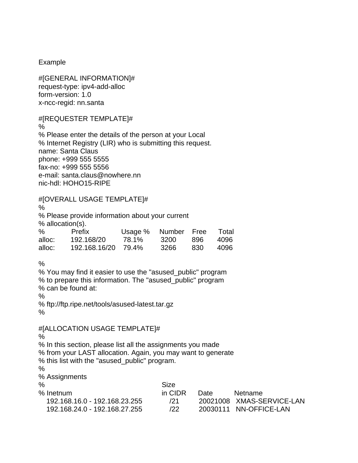Example

#[GENERAL INFORMATION]# request-type: ipv4-add-alloc form-version: 1.0 x-ncc-regid: nn.santa

## #[REQUESTER TEMPLATE]#

% % Please enter the details of the person at your Local % Internet Registry (LIR) who is submitting this request. name: Santa Claus phone: +999 555 5555 fax-no: +999 555 5556 e-mail: santa.claus@nowhere.nn nic-hdl: HOHO15-RIPE

## #[OVERALL USAGE TEMPLATE]# % % Please provide information about your current % allocation(s). % Prefix Usage % Number Free Total alloc: 192.168/20 78.1% 3200 896 4096 alloc: 192.168.16/20 79.4% 3266 830 4096  $\frac{0}{0}$ % You may find it easier to use the "asused\_public" program % to prepare this information. The "asused\_public" program % can be found at: % % ftp://ftp.ripe.net/tools/asused-latest.tar.gz % #[ALLOCATION USAGE TEMPLATE]# % % In this section, please list all the assignments you made

% from your LAST allocation. Again, you may want to generate % this list with the "asused\_public" program. % % Assignments % Size % Inetnum in CIDR Date Netname 192.168.16.0 - 192.168.23.255 /21 20021008 XMAS-SERVICE-LAN

192.168.24.0 - 192.168.27.255 /22 20030111 NN-OFFICE-LAN